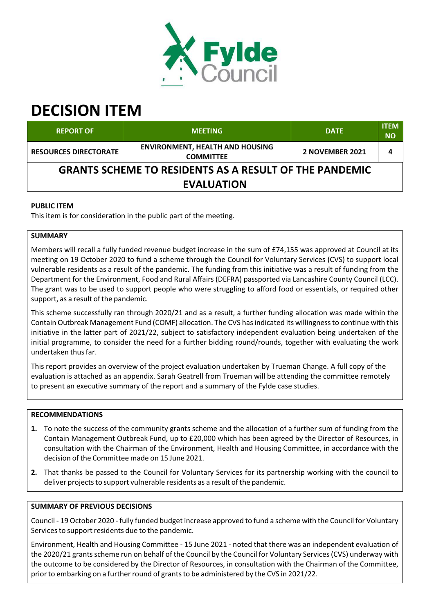

# **DECISION ITEM**

| <b>REPORT OF</b>                                              | <b>MEETING</b>                                             | <b>DATE</b>     | <b>ITEM</b><br><b>NO</b> |  |  |  |
|---------------------------------------------------------------|------------------------------------------------------------|-----------------|--------------------------|--|--|--|
| <b>RESOURCES DIRECTORATE</b>                                  | <b>ENVIRONMENT, HEALTH AND HOUSING</b><br><b>COMMITTEE</b> | 2 NOVEMBER 2021 | 4                        |  |  |  |
| <b>GRANTS SCHEME TO RESIDENTS AS A RESULT OF THE PANDEMIC</b> |                                                            |                 |                          |  |  |  |
| <b>EVALUATION</b>                                             |                                                            |                 |                          |  |  |  |

# **PUBLIC ITEM**

This item is for consideration in the public part of the meeting.

# **SUMMARY**

Members will recall a fully funded revenue budget increase in the sum of £74,155 was approved at Council at its meeting on 19 October 2020 to fund a scheme through the Council for Voluntary Services (CVS) to support local vulnerable residents as a result of the pandemic. The funding from this initiative was a result of funding from the Department for the Environment, Food and Rural Affairs (DEFRA) passported via Lancashire County Council (LCC). The grant was to be used to support people who were struggling to afford food or essentials, or required other support, as a result of the pandemic.

This scheme successfully ran through 2020/21 and as a result, a further funding allocation was made within the Contain Outbreak Management Fund (COMF) allocation. The CVS hasindicated its willingnessto continue with this initiative in the latter part of 2021/22, subject to satisfactory independent evaluation being undertaken of the initial programme, to consider the need for a further bidding round/rounds, together with evaluating the work undertaken thusfar.

This report provides an overview of the project evaluation undertaken by Trueman Change. A full copy of the evaluation is attached as an appendix. Sarah Geatrell from Trueman will be attending the committee remotely to present an executive summary of the report and a summary of the Fylde case studies.

# **RECOMMENDATIONS**

- **1.** To note the success of the community grants scheme and the allocation of a further sum of funding from the Contain Management Outbreak Fund, up to £20,000 which has been agreed by the Director of Resources, in consultation with the Chairman of the Environment, Health and Housing Committee, in accordance with the decision of the Committee made on 15 June 2021.
- **2.** That thanks be passed to the Council for Voluntary Services for its partnership working with the council to deliver projects to support vulnerable residents as a result of the pandemic.

# **SUMMARY OF PREVIOUS DECISIONS**

Council ‐ 19 October 2020 ‐ fully funded budget increase approved to fund a scheme with the Council for Voluntary Services to support residents due to the pandemic.

Environment, Health and Housing Committee ‐ 15 June 2021 ‐ noted that there was an independent evaluation of the 2020/21 grants scheme run on behalf of the Council by the Council for Voluntary Services (CVS) underway with the outcome to be considered by the Director of Resources, in consultation with the Chairman of the Committee, prior to embarking on a further round of grants to be administered by the CVS in 2021/22.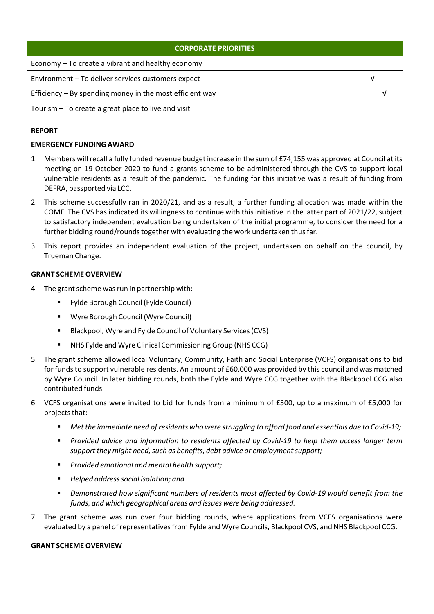| <b>CORPORATE PRIORITIES</b>                                |  |  |
|------------------------------------------------------------|--|--|
| Economy – To create a vibrant and healthy economy          |  |  |
| Environment - To deliver services customers expect         |  |  |
| Efficiency $-$ By spending money in the most efficient way |  |  |
| Tourism - To create a great place to live and visit        |  |  |

### **REPORT**

#### **EMERGENCY FUNDING AWARD**

- 1. Members will recall a fully funded revenue budget increase in the sum of £74,155 was approved at Council at its meeting on 19 October 2020 to fund a grants scheme to be administered through the CVS to support local vulnerable residents as a result of the pandemic. The funding for this initiative was a result of funding from DEFRA, passported via LCC.
- 2. This scheme successfully ran in 2020/21, and as a result, a further funding allocation was made within the COMF. The CVS has indicated its willingness to continue with thisinitiative in the latter part of 2021/22, subject to satisfactory independent evaluation being undertaken of the initial programme, to consider the need for a further bidding round/rounds together with evaluating the work undertaken thus far.
- 3. This report provides an independent evaluation of the project, undertaken on behalf on the council, by Trueman Change.

#### **GRANT SCHEME OVERVIEW**

- 4. The grant scheme was run in partnership with:
	- Fylde Borough Council (Fylde Council)
	- Wyre Borough Council (Wyre Council)
	- Blackpool, Wyre and Fylde Council of Voluntary Services(CVS)
	- NHS Fylde and Wyre Clinical Commissioning Group (NHS CCG)
- 5. The grant scheme allowed local Voluntary, Community, Faith and Social Enterprise (VCFS) organisations to bid for funds to support vulnerable residents. An amount of £60,000 was provided by this council and was matched by Wyre Council. In later bidding rounds, both the Fylde and Wyre CCG together with the Blackpool CCG also contributed funds.
- 6. VCFS organisations were invited to bid for funds from a minimum of £300, up to a maximum of £5,000 for projects that:
	- *Met the immediate need of residents who were struggling to afford food and essentials due to Covid‐19;*
	- *Provided advice and information to residents affected by Covid‐19 to help them access longer term support they might need, such as benefits, debt advice or employment support;*
	- *Provided emotional and mental health support;*
	- *Helped addresssocial isolation; and*
	- *Demonstrated how significant numbers of residents most affected by Covid‐19 would benefit from the funds, and which geographical areas and issues were being addressed.*
- 7. The grant scheme was run over four bidding rounds, where applications from VCFS organisations were evaluated by a panel of representatives from Fylde and Wyre Councils, Blackpool CVS, and NHS Blackpool CCG.

#### **GRANT SCHEME OVERVIEW**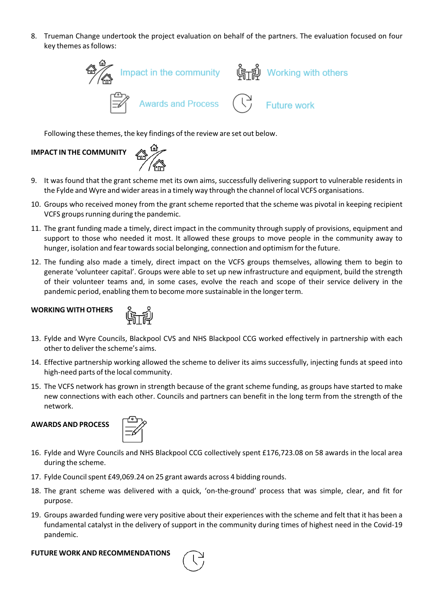8. Trueman Change undertook the project evaluation on behalf of the partners. The evaluation focused on four key themes as follows:



Following these themes, the key findings of the review are set out below.

# **IMPACT IN THE COMMUNITY**



- 9. It was found that the grant scheme met its own aims, successfully delivering support to vulnerable residents in the Fylde and Wyre and wider areas in a timely way through the channel of local VCFS organisations.
- 10. Groups who received money from the grant scheme reported that the scheme was pivotal in keeping recipient VCFS groups running during the pandemic.
- 11. The grant funding made a timely, direct impact in the community through supply of provisions, equipment and support to those who needed it most. It allowed these groups to move people in the community away to hunger, isolation and fear towards social belonging, connection and optimism for the future.
- 12. The funding also made a timely, direct impact on the VCFS groups themselves, allowing them to begin to generate 'volunteer capital'. Groups were able to set up new infrastructure and equipment, build the strength of their volunteer teams and, in some cases, evolve the reach and scope of their service delivery in the pandemic period, enabling them to become more sustainable in the longer term.

# **WORKING WITH OTHERS**



- 13. Fylde and Wyre Councils, Blackpool CVS and NHS Blackpool CCG worked effectively in partnership with each other to deliver the scheme's aims.
- 14. Effective partnership working allowed the scheme to deliver its aims successfully, injecting funds at speed into high‐need parts of the local community.
- 15. The VCFS network has grown in strength because of the grant scheme funding, as groups have started to make new connections with each other. Councils and partners can benefit in the long term from the strength of the network.

# **AWARDS AND PROCESS**



- 16. Fylde and Wyre Councils and NHS Blackpool CCG collectively spent £176,723.08 on 58 awards in the local area during the scheme.
- 17. Fylde Council spent £49,069.24 on 25 grant awards across 4 bidding rounds.
- 18. The grant scheme was delivered with a quick, 'on-the-ground' process that was simple, clear, and fit for purpose.
- 19. Groups awarded funding were very positive about their experiences with the scheme and felt that it has been a fundamental catalyst in the delivery of support in the community during times of highest need in the Covid‐19 pandemic.

#### **FUTURE WORK AND RECOMMENDATIONS**

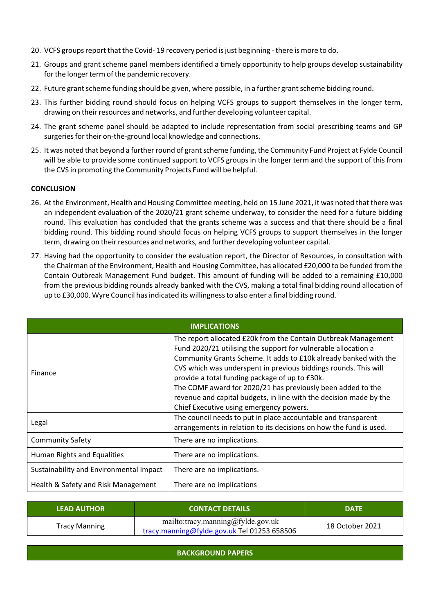- 20. VCFS groups report that the Covid-19 recovery period is just beginning there is more to do.
- 21. Groups and grant scheme panel members identified a timely opportunity to help groups develop sustainability for the longer term of the pandemic recovery.
- 22. Future grant scheme funding should be given, where possible, in a further grant scheme bidding round.
- 23. This further bidding round should focus on helping VCFS groups to support themselves in the longer term, drawing on their resources and networks, and further developing volunteer capital.
- 24. The grant scheme panel should be adapted to include representation from social prescribing teams and GP surgeries for their on-the-ground local knowledge and connections.
- 25. It was noted that beyond a further round of grant scheme funding, the Community Fund Project at Fylde Council will be able to provide some continued support to VCFS groups in the longer term and the support of this from the CVS in promoting the Community Projects Fund will be helpful.

#### **CONCLUSION**

- 26. At the Environment, Health and Housing Committee meeting, held on 15 June 2021, it was noted that there was an independent evaluation of the 2020/21 grant scheme underway, to consider the need for a future bidding round. This evaluation has concluded that the grants scheme was a success and that there should be a final bidding round. This bidding round should focus on helping VCFS groups to support themselves in the longer term, drawing on their resources and networks, and further developing volunteer capital.
- 27. Having had the opportunity to consider the evaluation report, the Director of Resources, in consultation with the Chairman of the Environment, Health and Housing Committee, has allocated £20,000 to be funded from the Contain Outbreak Management Fund budget. This amount of funding will be added to a remaining £10,000 from the previous bidding rounds already banked with the CVS, making a total final bidding round allocation of up to £30,000. Wyre Council has indicated its willingness to also enter a final bidding round.

| <b>IMPLICATIONS</b>                     |                                                                                                                                                                                                                                                                                                                                                                                                                                                                                                           |  |  |  |
|-----------------------------------------|-----------------------------------------------------------------------------------------------------------------------------------------------------------------------------------------------------------------------------------------------------------------------------------------------------------------------------------------------------------------------------------------------------------------------------------------------------------------------------------------------------------|--|--|--|
| <b>Finance</b>                          | The report allocated £20k from the Contain Outbreak Management<br>Fund 2020/21 utilising the support for vulnerable allocation a<br>Community Grants Scheme. It adds to £10k already banked with the<br>CVS which was underspent in previous biddings rounds. This will<br>provide a total funding package of up to £30k.<br>The COMF award for 2020/21 has previously been added to the<br>revenue and capital budgets, in line with the decision made by the<br>Chief Executive using emergency powers. |  |  |  |
| Legal                                   | The council needs to put in place accountable and transparent<br>arrangements in relation to its decisions on how the fund is used.                                                                                                                                                                                                                                                                                                                                                                       |  |  |  |
| <b>Community Safety</b>                 | There are no implications.                                                                                                                                                                                                                                                                                                                                                                                                                                                                                |  |  |  |
| Human Rights and Equalities             | There are no implications.                                                                                                                                                                                                                                                                                                                                                                                                                                                                                |  |  |  |
| Sustainability and Environmental Impact | There are no implications.                                                                                                                                                                                                                                                                                                                                                                                                                                                                                |  |  |  |
| Health & Safety and Risk Management     | There are no implications                                                                                                                                                                                                                                                                                                                                                                                                                                                                                 |  |  |  |

| <b>LEAD AUTHOR</b>   | <b>CONTACT DETAILS</b>                                                           | <b>DATE</b>     |
|----------------------|----------------------------------------------------------------------------------|-----------------|
| <b>Tracy Manning</b> | mailto:tracy.manning@fylde.gov.uk<br>tracy.manning@fylde.gov.uk Tel 01253 658506 | 18 October 2021 |

**BACKGROUND PAPERS**